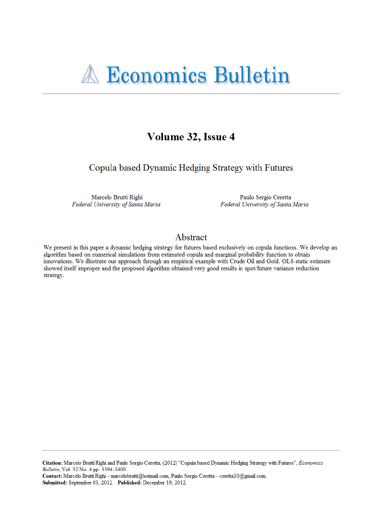# Volume 32, Issue 4

Copula based Dynamic Hedging Strategy with Futures

Marcelo Brutti Righi Federal University of Santa Maria

Paulo Sergio Ceretta Federal University of Santa Maria

## Abstract

We present in this paper a dynamic hedging strategy for futures based exclusively on copula functions. We develop an algorithm based on numerical simulations from estimated copula and marginal probability function to obtain innovations. We illustrate our approach through an empirical example with Crude Oil and Gold. OLS static estimate showed itself improper and the proposed algorithm obtained very good results in spot/future variance reduction strategy.

Citation: Marcelo Brutti Righi and Paulo Sergio Ceretta, (2012) "Copula based Dynamic Hedging Strategy with Futures", Economics Bulletin, Vol. 32 No. 4 pp. 3394-3400.

Contact: Marcelo Brutti Righi - marcelobrutti@hotmail.com, Paulo Sergio Ceretta - ceretta10@gmail.com. Submitted: September 03, 2012. Published: December 19, 2012.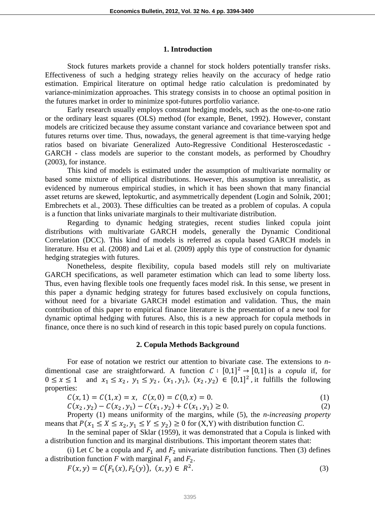#### **1. Introduction**

Stock futures markets provide a channel for stock holders potentially transfer risks. Effectiveness of such a hedging strategy relies heavily on the accuracy of hedge ratio estimation. Empirical literature on optimal hedge ratio calculation is predominated by variance-minimization approaches. This strategy consists in to choose an optimal position in the futures market in order to minimize spot-futures portfolio variance.

Early research usually employs constant hedging models, such as the one-to-one ratio or the ordinary least squares (OLS) method (for example, Benet, 1992). However, constant models are criticized because they assume constant variance and covariance between spot and futures returns over time. Thus, nowadays, the general agreement is that time-varying hedge ratios based on bivariate Generalized Auto-Regressive Conditional Hesteroscedastic - GARCH - class models are superior to the constant models, as performed by Choudhry (2003), for instance.

This kind of models is estimated under the assumption of multivariate normality or based some mixture of elliptical distributions. However, this assumption is unrealistic, as evidenced by numerous empirical studies, in which it has been shown that many financial asset returns are skewed, leptokurtic, and asymmetrically dependent (Login and Solnik, 2001; Embrechets et al., 2003). These difficulties can be treated as a problem of copulas. A copula is a function that links univariate marginals to their multivariate distribution.

Regarding to dynamic hedging strategies, recent studies linked copula joint distributions with multivariate GARCH models, generally the Dynamic Conditional Correlation (DCC). This kind of models is referred as copula based GARCH models in literature. Hsu et al. (2008) and Lai et al. (2009) apply this type of construction for dynamic hedging strategies with futures.

Nonetheless, despite flexibility, copula based models still rely on multivariate GARCH specifications, as well parameter estimation which can lead to some liberty loss. Thus, even having flexible tools one frequently faces model risk. In this sense, we present in this paper a dynamic hedging strategy for futures based exclusively on copula functions, without need for a bivariate GARCH model estimation and validation. Thus, the main contribution of this paper to empirical finance literature is the presentation of a new tool for dynamic optimal hedging with futures. Also, this is a new approach for copula methods in finance, once there is no such kind of research in this topic based purely on copula functions.

## **2. Copula Methods Background**

For ease of notation we restrict our attention to bivariate case. The extensions to *n*dimentional case are straightforward. A function  $C : [0,1]^2 \rightarrow [0,1]$  is a *copula* if, for  $0 \le x \le 1$  and  $x_1 \le x_2$ ,  $y_1 \le y_2$ ,  $(x_1, y_1)$ ,  $(x_2, y_2) \in [0,1]^2$ , it fulfills the following properties:

$$
C(x, 1) = C(1, x) = x, \ C(x, 0) = C(0, x) = 0.
$$
 (1)

 $C(x_2, y_2) - C(x_2, y_1) - C(x_1, y_2) + C(x_1, y_1) \ge 0.$  (2)

Property (1) means uniformity of the margins, while (5), the *n-increasing property*  means that  $P(x_1 \le X \le x_2, y_1 \le Y \le y_2) \ge 0$  for  $(X, Y)$  with distribution function *C*.

In the seminal paper of Sklar (1959), it was demonstrated that a Copula is linked with a distribution function and its marginal distributions. This important theorem states that:

(i) Let *C* be a copula and  $F_1$  and  $F_2$  univariate distribution functions. Then (3) defines a distribution function  $F$  with marginal  $F_1$  and  $F_2$ .

$$
F(x, y) = C(F_1(x), F_2(y)), (x, y) \in R^2.
$$
 (3)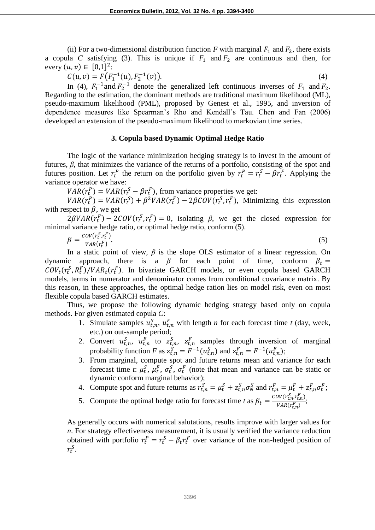(ii) For a two-dimensional distribution function *F* with marginal  $F_1$  and  $F_2$ , there exists a copula *C* satisfying (3). This is unique if  $F_1$  and  $F_2$  are continuous and then, for every  $(u, v) \in [0, 1]^2$ :

 $C(u, v) = F(F_1^{-1}(u), F_2^{-1})$  $(v)$ ). (4)

In (4),  $F_1^{-1}$  and  $F_2^{-1}$  denote the generalized left continuous inverses of  $F_1$  and  $F_2$ . Regarding to the estimation, the dominant methods are traditional maximum likelihood (ML), pseudo-maximum likelihood (PML), proposed by Genest et al., 1995, and inversion of dependence measures like Spearman's Rho and Kendall's Tau. Chen and Fan (2006) developed an extension of the pseudo-maximum likelihood to markovian time series.

## **3. Copula based Dynamic Optimal Hedge Ratio**

The logic of the variance minimization hedging strategy is to invest in the amount of futures, *β*, that minimizes the variance of the returns of a portfolio, consisting of the spot and futures position. Let  $r_t^P$  the return on the portfolio given by  $r_t^P = r_t^S - \beta r_t^F$ . Applying the variance operator we have:

 $VAR(r_t^P) = VAR(r_t^S - \beta r_t^F)$ , from variance properties we get:

 $VAR(r_t^P) = VAR(r_t^S) + \beta^2 VAR(r_t^F) - 2\beta COV(r_t^S, r_t^F)$ , Minimizing this expression with respect to  $\beta$ , we get

 $2\beta VAR(r_t^F) - 2COV(r_t^S, r_t^F) = 0$ , isolating *β*, we get the closed expression for minimal variance hedge ratio, or optimal hedge ratio, conform (5).

$$
\beta = \frac{cov(r_t^S, r_t^F)}{VAR(r_t^F)}.
$$
\n(5)

In a static point of view, *β* is the slope OLS estimator of a linear regression. On dynamic approach, there is a  $\beta$  for each point of time, conform  $\beta_t =$  $\text{COV}_t(r_t^S, R_t^F)/\text{VAR}_t(r_t^F)$ . In bivariate GARCH models, or even copula based GARCH models, terms in numerator and denominator comes from conditional covariance matrix. By this reason, in these approaches, the optimal hedge ration lies on model risk, even on most flexible copula based GARCH estimates.

Thus, we propose the following dynamic hedging strategy based only on copula methods. For given estimated copula *C*:

- 1. Simulate samples  $u_{t,n}^S$ ,  $u_{t,n}^F$  with length *n* for each forecast time *t* (day, week, etc.) on out-sample period;
- 2. Convert  $u_{t,n}^S$ ,  $u_{t,n}^F$  to  $z_{t,n}^S$ ,  $z_{t,n}^F$  samples through inversion of marginal probability function *F* as  $z_{t,n}^S = F^{-1}(u_{t,n}^S)$  and  $z_{t,n}^F = F^{-1}(u_{t,n}^F)$ ;
- 3. From marginal, compute spot and future returns mean and variance for each forecast time *t*:  $\mu_t^S$ ,  $\mu_t^F$ ,  $\sigma_t^S$ ,  $\sigma_t^F$  (note that mean and variance can be static or dynamic conform marginal behavior);

4. Compute spot and future returns as  $r_{t,n}^S = \mu_t^S + z_{t,n}^S \sigma_N^S$  and  $r_{t,n}^F = \mu_t^F + z_{t,n}^F \sigma_t^F$ ;

5. Compute the optimal hedge ratio for forecast time *t* as  $\beta_t = \frac{cov(r_{\epsilon,n}^S, r_{\epsilon,n}^F)}{V_{\epsilon,n}^S, K}$  $\frac{\partial V(t, n, t, n)}{\partial R(r_{t,n}^F)}$ 

As generally occurs with numerical salutations, results improve with larger values for *n*. For strategy effectiveness measurement, it is usually verified the variance reduction obtained with portfolio  $r_t^P = r_t^S - \beta_t r_t^F$  over variance of the non-hedged position of  $r_t^{\mathcal{S}}$ .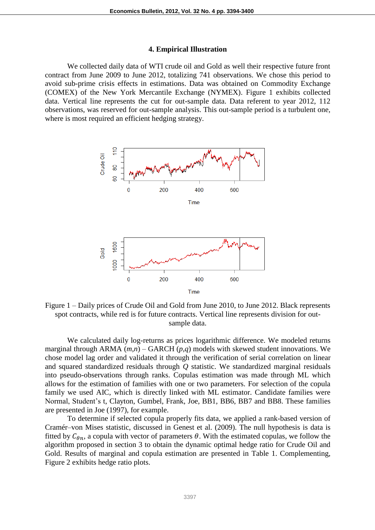#### **4. Empirical Illustration**

We collected daily data of WTI crude oil and Gold as well their respective future front contract from June 2009 to June 2012, totalizing 741 observations. We chose this period to avoid sub-prime crisis effects in estimations. Data was obtained on Commodity Exchange (COMEX) of the New York Mercantile Exchange (NYMEX). Figure 1 exhibits collected data. Vertical line represents the cut for out-sample data. Data referent to year 2012, 112 observations, was reserved for out-sample analysis. This out-sample period is a turbulent one, where is most required an efficient hedging strategy.



Figure 1 – Daily prices of Crude Oil and Gold from June 2010, to June 2012. Black represents spot contracts, while red is for future contracts. Vertical line represents division for outsample data.

We calculated daily log-returns as prices logarithmic difference. We modeled returns marginal through ARMA (*m*,*n*) – GARCH (*p*,*q*) models with skewed student innovations. We chose model lag order and validated it through the verification of serial correlation on linear and squared standardized residuals through *Q* statistic. We standardized marginal residuals into pseudo-observations through ranks. Copulas estimation was made through ML which allows for the estimation of families with one or two parameters. For selection of the copula family we used AIC, which is directly linked with ML estimator. Candidate families were Normal, Student's t, Clayton, Gumbel, Frank, Joe, BB1, BB6, BB7 and BB8. These families are presented in Joe (1997), for example.

To determine if selected copula properly fits data, we applied a rank-based version of Cramér–von Mises statistic, discussed in Genest et al. (2009). The null hypothesis is data is fitted by  $C_{\theta n}$ , a copula with vector of parameters  $\theta$ . With the estimated copulas, we follow the algorithm proposed in section 3 to obtain the dynamic optimal hedge ratio for Crude Oil and Gold. Results of marginal and copula estimation are presented in Table 1. Complementing, Figure 2 exhibits hedge ratio plots.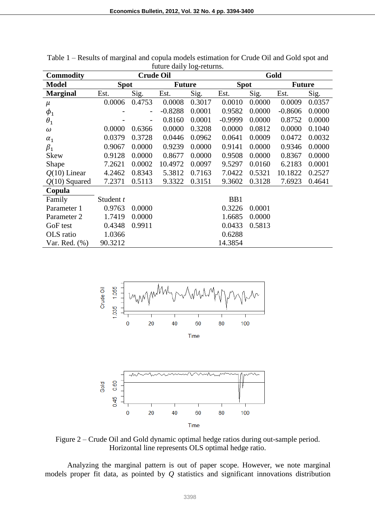| <b>Commodity</b>  | <b>Crude Oil</b> |                          |               |        | Gold            |        |               |        |
|-------------------|------------------|--------------------------|---------------|--------|-----------------|--------|---------------|--------|
| <b>Model</b>      | <b>Spot</b>      |                          | <b>Future</b> |        | <b>Spot</b>     |        | <b>Future</b> |        |
| <b>Marginal</b>   | Est.             | Sig.                     | Est.          | Sig.   | Est.            | Sig.   | Est.          | Sig.   |
| $\mu$             | 0.0006           | 0.4753                   | 0.0008        | 0.3017 | 0.0010          | 0.0000 | 0.0009        | 0.0357 |
| $\phi_1$          |                  | $\overline{\phantom{a}}$ | $-0.8288$     | 0.0001 | 0.9582          | 0.0000 | $-0.8606$     | 0.0000 |
| $\theta_1$        |                  |                          | 0.8160        | 0.0001 | $-0.9999$       | 0.0000 | 0.8752        | 0.0000 |
| $\omega$          | 0.0000           | 0.6366                   | 0.0000        | 0.3208 | 0.0000          | 0.0812 | 0.0000        | 0.1040 |
| $\alpha_1$        | 0.0379           | 0.3728                   | 0.0446        | 0.0962 | 0.0641          | 0.0009 | 0.0472        | 0.0032 |
| $\beta_1$         | 0.9067           | 0.0000                   | 0.9239        | 0.0000 | 0.9141          | 0.0000 | 0.9346        | 0.0000 |
| <b>Skew</b>       | 0.9128           | 0.0000                   | 0.8677        | 0.0000 | 0.9508          | 0.0000 | 0.8367        | 0.0000 |
| Shape             | 7.2621           | 0.0002                   | 10.4972       | 0.0097 | 9.5297          | 0.0160 | 6.2183        | 0.0001 |
| $Q(10)$ Linear    | 4.2462           | 0.8343                   | 5.3812        | 0.7163 | 7.0422          | 0.5321 | 10.1822       | 0.2527 |
| $Q(10)$ Squared   | 7.2371           | 0.5113                   | 9.3322        | 0.3151 | 9.3602          | 0.3128 | 7.6923        | 0.4641 |
| Copula            |                  |                          |               |        |                 |        |               |        |
| Family            | Student t        |                          |               |        | B <sub>B1</sub> |        |               |        |
| Parameter 1       | 0.9763           | 0.0000                   |               |        | 0.3226          | 0.0001 |               |        |
| Parameter 2       | 1.7419           | 0.0000                   |               |        | 1.6685          | 0.0000 |               |        |
| GoF test          | 0.4348           | 0.9911                   |               |        | 0.0433          | 0.5813 |               |        |
| OLS ratio         | 1.0366           |                          |               |        | 0.6288          |        |               |        |
| Var. Red. $(\% )$ | 90.3212          |                          |               |        | 14.3854         |        |               |        |

Table 1 – Results of marginal and copula models estimation for Crude Oil and Gold spot and future daily log-returns.



Time

Figure 2 – Crude Oil and Gold dynamic optimal hedge ratios during out-sample period. Horizontal line represents OLS optimal hedge ratio.

Analyzing the marginal pattern is out of paper scope. However, we note marginal models proper fit data, as pointed by *Q* statistics and significant innovations distribution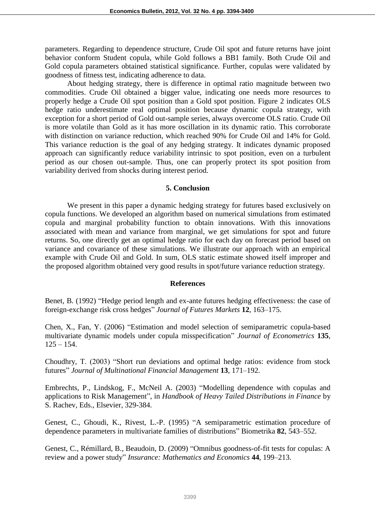parameters. Regarding to dependence structure, Crude Oil spot and future returns have joint behavior conform Student copula, while Gold follows a BB1 family. Both Crude Oil and Gold copula parameters obtained statistical significance. Further, copulas were validated by goodness of fitness test, indicating adherence to data.

About hedging strategy, there is difference in optimal ratio magnitude between two commodities. Crude Oil obtained a bigger value, indicating one needs more resources to properly hedge a Crude Oil spot position than a Gold spot position. Figure 2 indicates OLS hedge ratio underestimate real optimal position because dynamic copula strategy, with exception for a short period of Gold out-sample series, always overcome OLS ratio. Crude Oil is more volatile than Gold as it has more oscillation in its dynamic ratio. This corroborate with distinction on variance reduction, which reached 90% for Crude Oil and 14% for Gold. This variance reduction is the goal of any hedging strategy. It indicates dynamic proposed approach can significantly reduce variability intrinsic to spot position, even on a turbulent period as our chosen out-sample. Thus, one can properly protect its spot position from variability derived from shocks during interest period.

#### **5. Conclusion**

We present in this paper a dynamic hedging strategy for futures based exclusively on copula functions. We developed an algorithm based on numerical simulations from estimated copula and marginal probability function to obtain innovations. With this innovations associated with mean and variance from marginal, we get simulations for spot and future returns. So, one directly get an optimal hedge ratio for each day on forecast period based on variance and covariance of these simulations. We illustrate our approach with an empirical example with Crude Oil and Gold. In sum, OLS static estimate showed itself improper and the proposed algorithm obtained very good results in spot/future variance reduction strategy.

## **References**

Benet, B. (1992) "Hedge period length and ex-ante futures hedging effectiveness: the case of foreign-exchange risk cross hedges" *Journal of Futures Markets* **12**, 163–175.

Chen, X., Fan, Y. (2006) "Estimation and model selection of semiparametric copula-based multivariate dynamic models under copula misspecification" *Journal of Econometrics* **135**,  $125 - 154.$ 

Choudhry, T. (2003) "Short run deviations and optimal hedge ratios: evidence from stock futures" *Journal of Multinational Financial Management* **13**, 171–192.

Embrechts, P., Lindskog, F., McNeil A. (2003) "Modelling dependence with copulas and applications to Risk Management", in *Handbook of Heavy Tailed Distributions in Finance* by S. Rachev, Eds., Elsevier, 329-384.

Genest, C., Ghoudi, K., Rivest, L.-P. (1995) "A semiparametric estimation procedure of dependence parameters in multivariate families of distributions" Biometrika **82**, 543–552.

Genest, C., Rémillard, B., Beaudoin, D. (2009) "Omnibus goodness-of-fit tests for copulas: A review and a power study" *Insurance: Mathematics and Economics* **44**, 199–213.